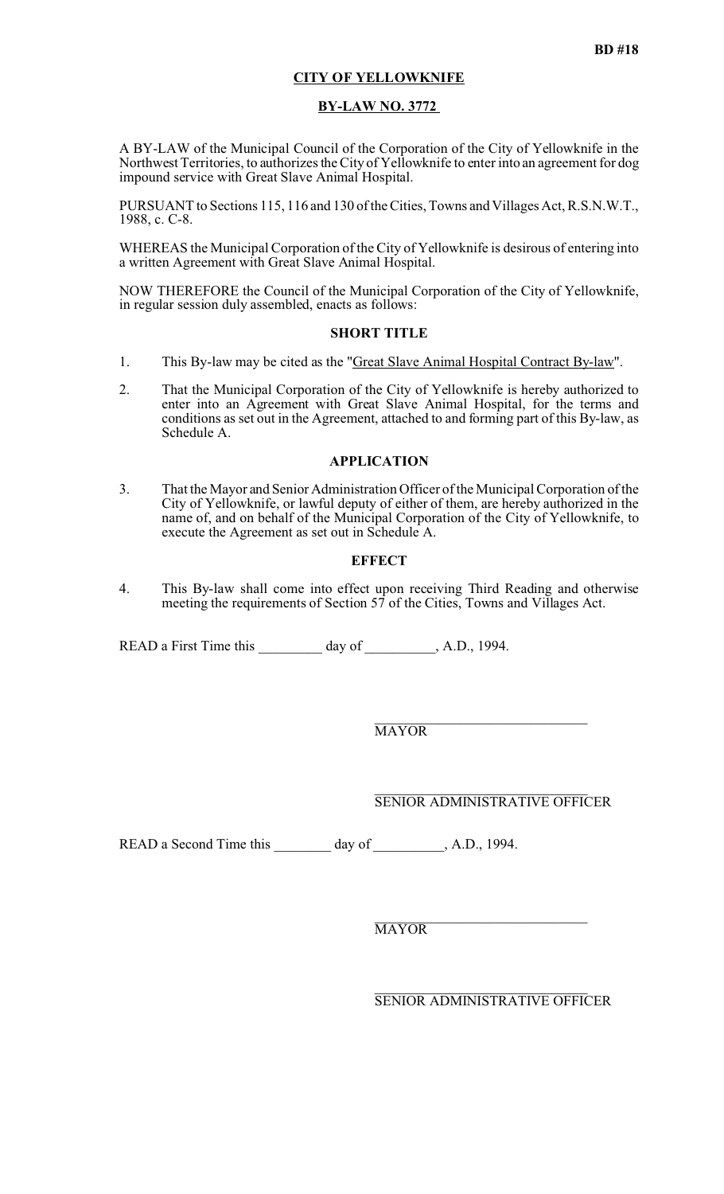# **CITY OF YELLOWKNIFE**

## **BY-LAW NO. 3772**

A BY-LAW of the Municipal Council of the Corporation of the City of Yellowknife in the Northwest Territories, to authorizes the City of Yellowknife to enter into an agreement for dog impound service with Great Slave Animal Hospital.

PURSUANT to Sections 115, 116 and 130 of the Cities, Towns and Villages Act, R.S.N.W.T., 1988, c. C-8.

WHEREAS the Municipal Corporation of the City of Yellowknife is desirous of entering into a written Agreement with Great Slave Animal Hospital.

NOW THEREFORE the Council of the Municipal Corporation of the City of Yellowknife, in regular session duly assembled, enacts as follows:

### **SHORT TITLE**

- 1. This By-law may be cited as the "Great Slave Animal Hospital Contract By-law".
- 2. That the Municipal Corporation of the City of Yellowknife is hereby authorized to enter into an Agreement with Great Slave Animal Hospital, for the terms and conditions as set out in the Agreement, attached to and forming part of this By-law, as Schedule A.

# **APPLICATION**

3. That the Mayor and Senior Administration Officer of the Municipal Corporation of the City of Yellowknife, or lawful deputy of either of them, are hereby authorized in the name of, and on behalf of the Municipal Corporation of the City of Yellowknife, to execute the Agreement as set out in Schedule A.

### **EFFECT**

4. This By-law shall come into effect upon receiving Third Reading and otherwise meeting the requirements of Section 57 of the Cities, Towns and Villages Act.

READ a First Time this day of , A.D., 1994.

 $\_$  . The set of the set of the set of the set of the set of the set of the set of the set of the set of the set of the set of the set of the set of the set of the set of the set of the set of the set of the set of the se **MAYOR** 

 $\_$  . The set of the set of the set of the set of the set of the set of the set of the set of the set of the set of the set of the set of the set of the set of the set of the set of the set of the set of the set of the se SENIOR ADMINISTRATIVE OFFICER

READ a Second Time this \_\_\_\_\_\_\_\_ day of \_\_\_\_\_\_\_\_, A.D., 1994.

 $\_$  . The set of the set of the set of the set of the set of the set of the set of the set of the set of the set of the set of the set of the set of the set of the set of the set of the set of the set of the set of the se **MAYOR** 

 $\_$  . The set of the set of the set of the set of the set of the set of the set of the set of the set of the set of the set of the set of the set of the set of the set of the set of the set of the set of the set of the se SENIOR ADMINISTRATIVE OFFICER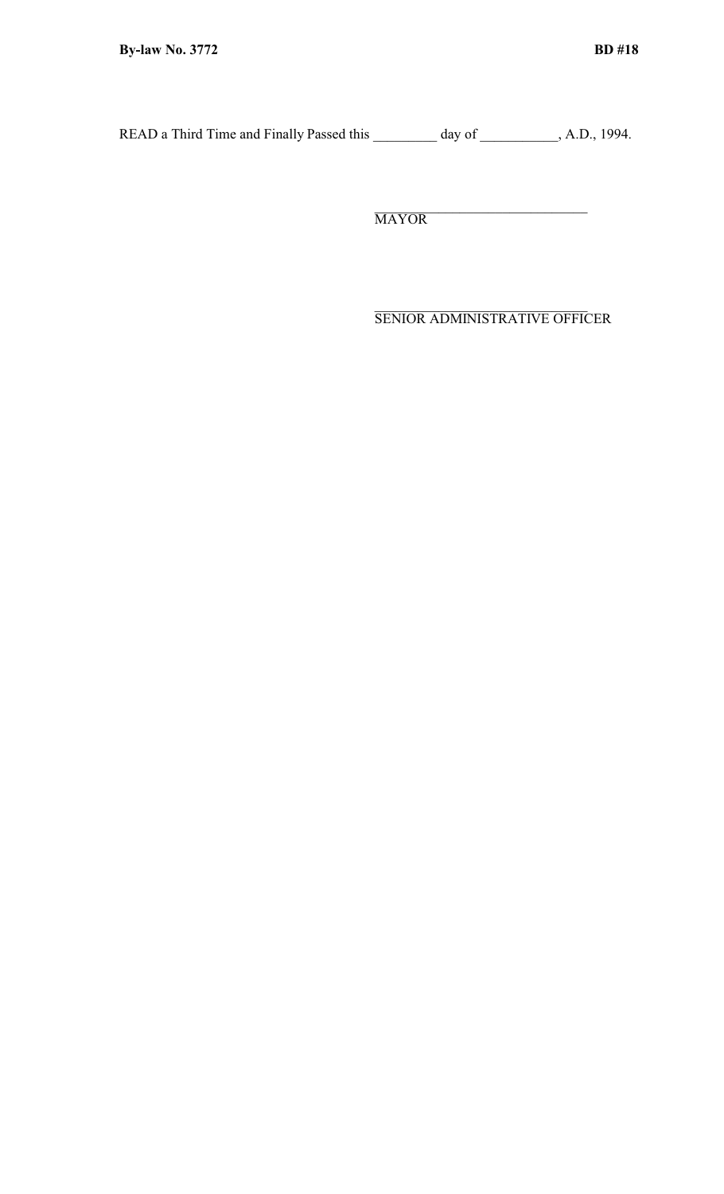READ a Third Time and Finally Passed this \_\_\_\_\_\_\_\_ day of \_\_\_\_\_\_\_\_\_, A.D., 1994.

 $\_$  . The set of the set of the set of the set of the set of the set of the set of the set of the set of the set of the set of the set of the set of the set of the set of the set of the set of the set of the set of the se MAYOR

 $\_$  . The set of the set of the set of the set of the set of the set of the set of the set of the set of the set of the set of the set of the set of the set of the set of the set of the set of the set of the set of the se SENIOR ADMINISTRATIVE OFFICER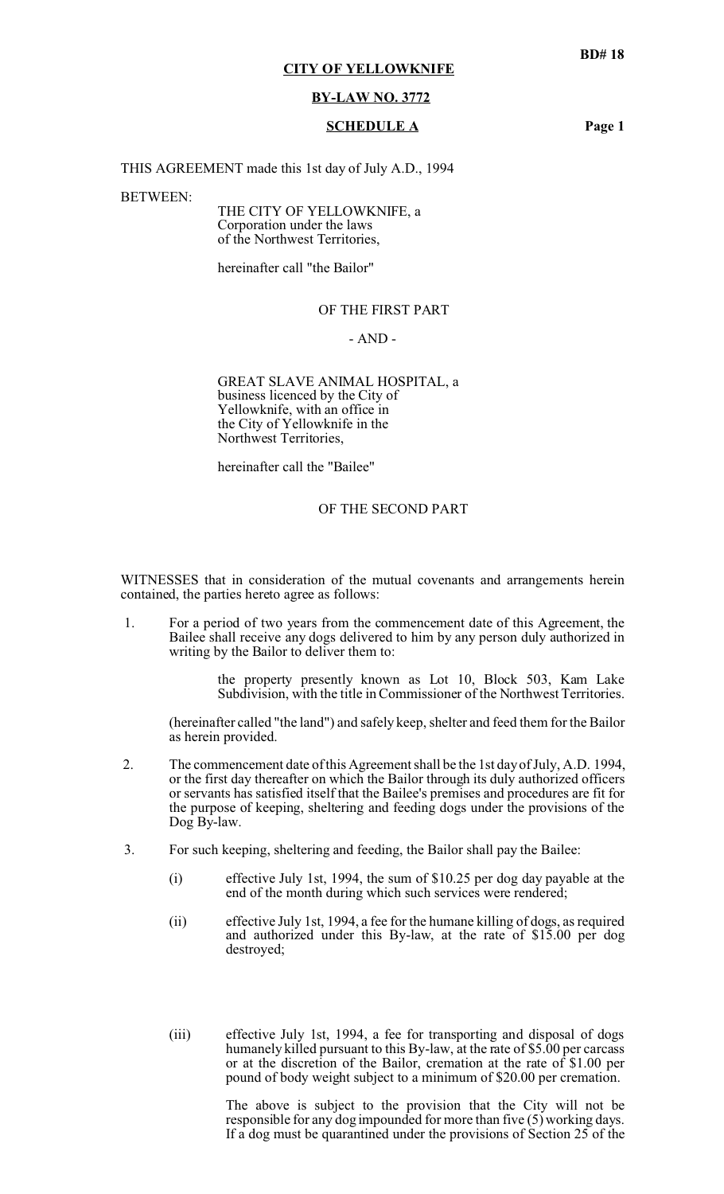# **CITY OF YELLOWKNIFE**

#### **BY-LAW NO. 3772**

#### **SCHEDULE A Page 1**

THIS AGREEMENT made this 1st day of July A.D., 1994

BETWEEN:

THE CITY OF YELLOWKNIFE, a Corporation under the laws of the Northwest Territories,

hereinafter call "the Bailor"

## OF THE FIRST PART

## - AND -

GREAT SLAVE ANIMAL HOSPITAL, a business licenced by the City of Yellowknife, with an office in the City of Yellowknife in the Northwest Territories,

hereinafter call the "Bailee"

## OF THE SECOND PART

WITNESSES that in consideration of the mutual covenants and arrangements herein contained, the parties hereto agree as follows:

 1. For a period of two years from the commencement date of this Agreement, the Bailee shall receive any dogs delivered to him by any person duly authorized in writing by the Bailor to deliver them to:

> the property presently known as Lot 10, Block 503, Kam Lake Subdivision, with the title in Commissioner of the Northwest Territories.

(hereinafter called "the land") and safely keep, shelter and feed them for the Bailor as herein provided.

- 2. The commencement date of this Agreement shall be the 1st day of July, A.D. 1994, or the first day thereafter on which the Bailor through its duly authorized officers or servants has satisfied itself that the Bailee's premises and procedures are fit for the purpose of keeping, sheltering and feeding dogs under the provisions of the Dog By-law.
- 3. For such keeping, sheltering and feeding, the Bailor shall pay the Bailee:
	- (i) effective July 1st, 1994, the sum of \$10.25 per dog day payable at the end of the month during which such services were rendered;
	- (ii) effective July 1st, 1994, a fee for the humane killing of dogs, as required and authorized under this By-law, at the rate of \$15.00 per dog destroyed;
	- (iii) effective July 1st, 1994, a fee for transporting and disposal of dogs humanely killed pursuant to this By-law, at the rate of \$5.00 per carcass or at the discretion of the Bailor, cremation at the rate of \$1.00 per pound of body weight subject to a minimum of \$20.00 per cremation.

The above is subject to the provision that the City will not be responsible for any dog impounded for more than five (5) working days. If a dog must be quarantined under the provisions of Section 25 of the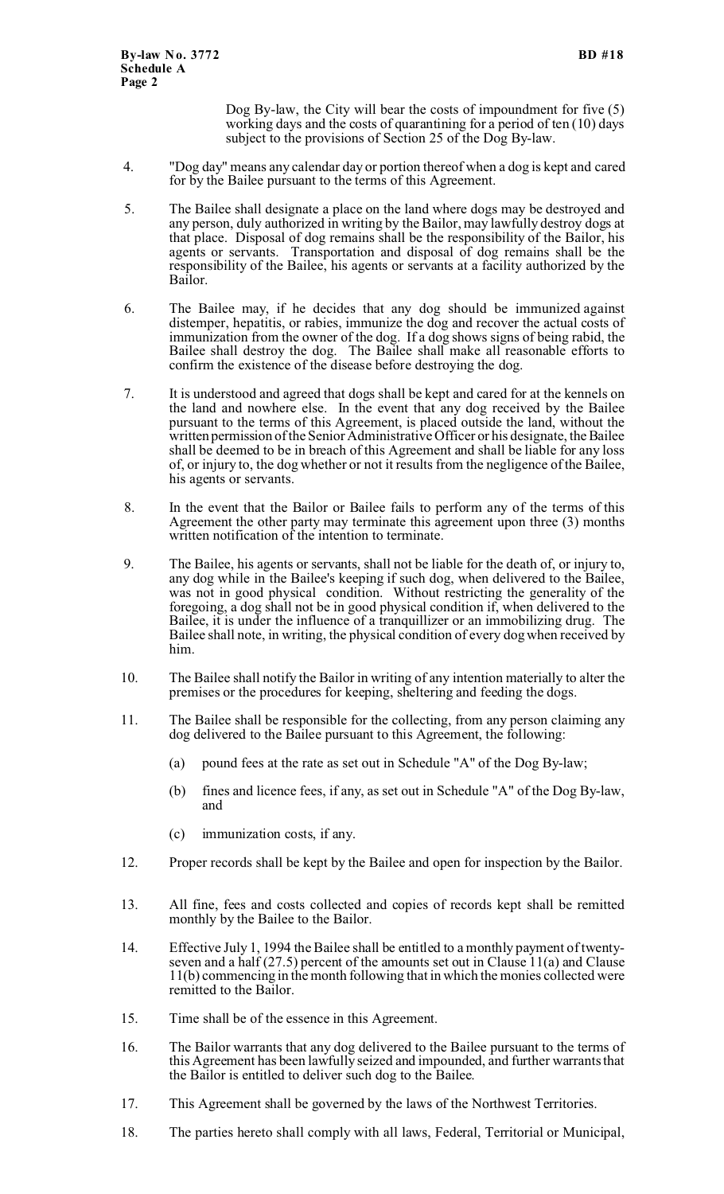Dog By-law, the City will bear the costs of impoundment for five (5) working days and the costs of quarantining for a period of ten (10) days subject to the provisions of Section 25 of the Dog By-law.

- 4. "Dog day" means any calendar day or portion thereof when a dog is kept and cared for by the Bailee pursuant to the terms of this Agreement.
- 5. The Bailee shall designate a place on the land where dogs may be destroyed and any person, duly authorized in writing by the Bailor, may lawfully destroy dogs at that place. Disposal of dog remains shall be the responsibility of the Bailor, his agents or servants. Transportation and disposal of dog remains shall be the responsibility of the Bailee, his agents or servants at a facility authorized by the Bailor.
- 6. The Bailee may, if he decides that any dog should be immunized against distemper, hepatitis, or rabies, immunize the dog and recover the actual costs of immunization from the owner of the dog. If a dog shows signs of being rabid, the Bailee shall destroy the dog. The Bailee shall make all reasonable efforts to confirm the existence of the disease before destroying the dog.
- 7. It is understood and agreed that dogs shall be kept and cared for at the kennels on the land and nowhere else. In the event that any dog received by the Bailee pursuant to the terms of this Agreement, is placed outside the land, without the written permission of the Senior Administrative Officer or his designate, the Bailee shall be deemed to be in breach of this Agreement and shall be liable for any loss of, or injury to, the dog whether or not it results from the negligence of the Bailee, his agents or servants.
- 8. In the event that the Bailor or Bailee fails to perform any of the terms of this Agreement the other party may terminate this agreement upon three (3) months written notification of the intention to terminate.
- 9. The Bailee, his agents or servants, shall not be liable for the death of, or injury to, any dog while in the Bailee's keeping if such dog, when delivered to the Bailee, was not in good physical condition. Without restricting the generality of the foregoing, a dog shall not be in good physical condition if, when delivered to the Bailee, it is under the influence of a tranquillizer or an immobilizing drug. The Bailee shall note, in writing, the physical condition of every dog when received by him.
- 10. The Bailee shall notify the Bailor in writing of any intention materially to alter the premises or the procedures for keeping, sheltering and feeding the dogs.
- 11. The Bailee shall be responsible for the collecting, from any person claiming any dog delivered to the Bailee pursuant to this Agreement, the following:
	- (a) pound fees at the rate as set out in Schedule "A" of the Dog By-law;
	- (b) fines and licence fees, if any, as set out in Schedule "A" of the Dog By-law, and
	- (c) immunization costs, if any.
- 12. Proper records shall be kept by the Bailee and open for inspection by the Bailor.
- 13. All fine, fees and costs collected and copies of records kept shall be remitted monthly by the Bailee to the Bailor.
- 14. Effective July 1, 1994 the Bailee shall be entitled to a monthly payment of twentyseven and a half  $(27.5)$  percent of the amounts set out in Clause 11(a) and Clause 11(b) commencing in the month following that in which the monies collected were remitted to the Bailor.
- 15. Time shall be of the essence in this Agreement.
- 16. The Bailor warrants that any dog delivered to the Bailee pursuant to the terms of this Agreement has been lawfully seized and impounded, and further warrants that the Bailor is entitled to deliver such dog to the Bailee.
- 17. This Agreement shall be governed by the laws of the Northwest Territories.
- 18. The parties hereto shall comply with all laws, Federal, Territorial or Municipal,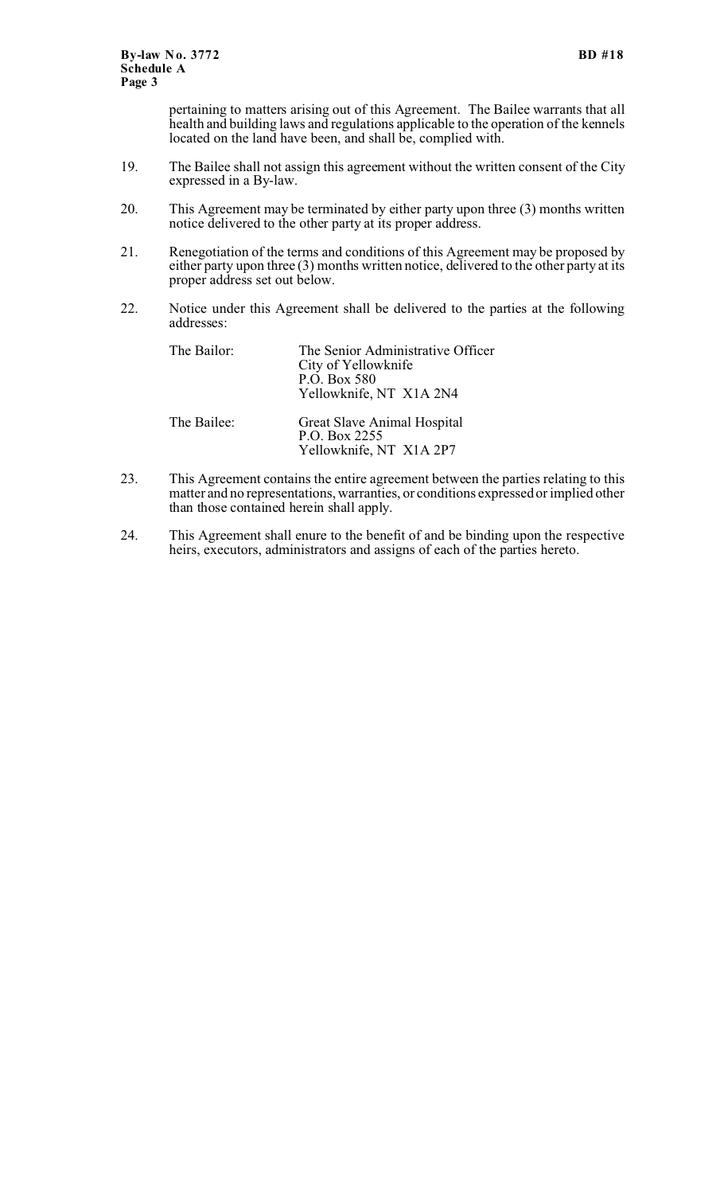pertaining to matters arising out of this Agreement. The Bailee warrants that all health and building laws and regulations applicable to the operation of the kennels located on the land have been, and shall be, complied with.

- 19. The Bailee shall not assign this agreement without the written consent of the City expressed in a By-law.
- 20. This Agreement may be terminated by either party upon three (3) months written notice delivered to the other party at its proper address.
- 21. Renegotiation of the terms and conditions of this Agreement may be proposed by either party upon three (3) months written notice, delivered to the other party at its proper address set out below.
- 22. Notice under this Agreement shall be delivered to the parties at the following addresses:

| The Bailor: | The Senior Administrative Officer<br>City of Yellowknife<br>P.O. Box 580<br>Yellowknife, NT X1A 2N4 |
|-------------|-----------------------------------------------------------------------------------------------------|
| The Bailee: | Great Slave Animal Hospital<br>P.O. Box 2255<br>Yellowknife, NT X1A 2P7                             |

- 23. This Agreement contains the entire agreement between the parties relating to this matter and no representations, warranties, or conditions expressed or implied other than those contained herein shall apply.
- 24. This Agreement shall enure to the benefit of and be binding upon the respective heirs, executors, administrators and assigns of each of the parties hereto.